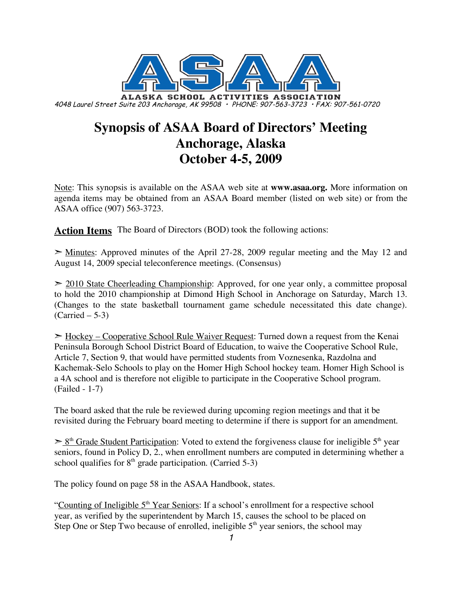

# **Synopsis of ASAA Board of Directors' Meeting Anchorage, Alaska October 4-5, 2009**

Note: This synopsis is available on the ASAA web site at **www.asaa.org.** More information on agenda items may be obtained from an ASAA Board member (listed on web site) or from the ASAA office (907) 563-3723.

**Action Items** The Board of Directors (BOD) took the following actions:

 $\geq$  Minutes: Approved minutes of the April 27-28, 2009 regular meeting and the May 12 and August 14, 2009 special teleconference meetings. (Consensus)

 $>$  2010 State Cheerleading Championship: Approved, for one year only, a committee proposal to hold the 2010 championship at Dimond High School in Anchorage on Saturday, March 13. (Changes to the state basketball tournament game schedule necessitated this date change).  $(Carried – 5-3)$ 

 $\geq$  Hockey – Cooperative School Rule Waiver Request: Turned down a request from the Kenai Peninsula Borough School District Board of Education, to waive the Cooperative School Rule, Article 7, Section 9, that would have permitted students from Voznesenka, Razdolna and Kachemak-Selo Schools to play on the Homer High School hockey team. Homer High School is a 4A school and is therefore not eligible to participate in the Cooperative School program. (Failed - 1-7)

The board asked that the rule be reviewed during upcoming region meetings and that it be revisited during the February board meeting to determine if there is support for an amendment.

 $\geq 8^{th}$  Grade Student Participation: Voted to extend the forgiveness clause for ineligible 5<sup>th</sup> year seniors, found in Policy D, 2., when enrollment numbers are computed in determining whether a school qualifies for  $8<sup>th</sup>$  grade participation. (Carried 5-3)

The policy found on page 58 in the ASAA Handbook, states.

"Counting of Ineligible  $5<sup>th</sup>$  Year Seniors: If a school's enrollment for a respective school year, as verified by the superintendent by March 15, causes the school to be placed on Step One or Step Two because of enrolled, ineligible  $5<sup>th</sup>$  year seniors, the school may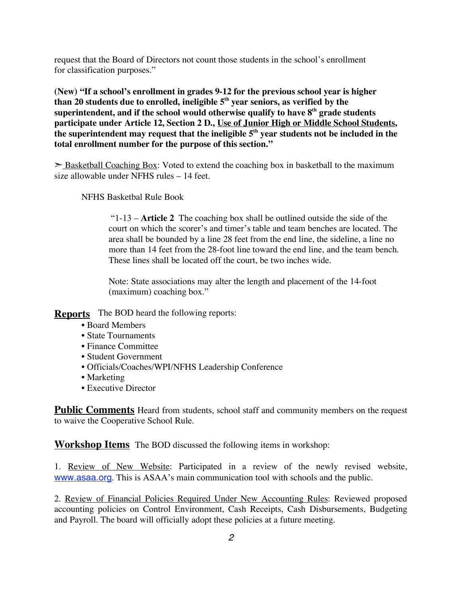request that the Board of Directors not count those students in the school's enrollment for classification purposes."

**(New) "If a school's enrollment in grades 9-12 for the previous school year is higher than 20 students due to enrolled, ineligible 5th year seniors, as verified by the superintendent, and if the school would otherwise qualify to have 8th grade students participate under Article 12, Section 2 D., Use of Junior High or Middle School Students, the superintendent may request that the ineligible 5th year students not be included in the total enrollment number for the purpose of this section."**

 $\geq$  Basketball Coaching Box: Voted to extend the coaching box in basketball to the maximum size allowable under NFHS rules – 14 feet.

NFHS Basketbal Rule Book

"1-13 – **Article 2** The coaching box shall be outlined outside the side of the court on which the scorer's and timer's table and team benches are located. The area shall be bounded by a line 28 feet from the end line, the sideline, a line no more than 14 feet from the 28-foot line toward the end line, and the team bench. These lines shall be located off the court, be two inches wide.

Note: State associations may alter the length and placement of the 14-foot (maximum) coaching box."

**Reports** The BOD heard the following reports:

- Board Members
- State Tournaments
- Finance Committee
- Student Government
- Officials/Coaches/WPI/NFHS Leadership Conference
- Marketing
- Executive Director

**Public Comments** Heard from students, school staff and community members on the request to waive the Cooperative School Rule.

**Workshop Items** The BOD discussed the following items in workshop:

1. Review of New Website: Participated in a review of the newly revised website, www.asaa.org. This is ASAA's main communication tool with schools and the public.

2. Review of Financial Policies Required Under New Accounting Rules: Reviewed proposed accounting policies on Control Environment, Cash Receipts, Cash Disbursements, Budgeting and Payroll. The board will officially adopt these policies at a future meeting.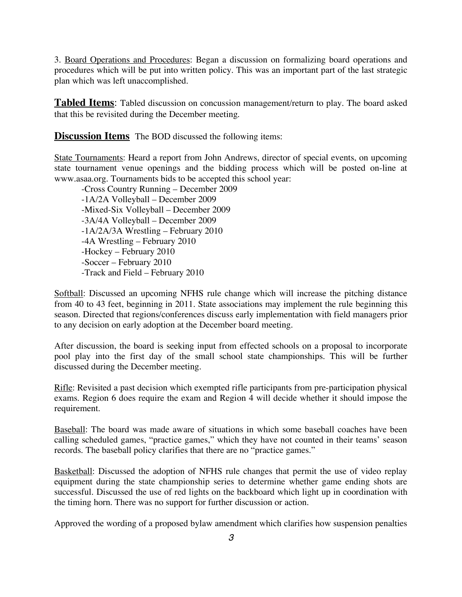3. Board Operations and Procedures: Began a discussion on formalizing board operations and procedures which will be put into written policy. This was an important part of the last strategic plan which was left unaccomplished.

**Tabled Items**: Tabled discussion on concussion management/return to play. The board asked that this be revisited during the December meeting.

**Discussion Items** The BOD discussed the following items:

State Tournaments: Heard a report from John Andrews, director of special events, on upcoming state tournament venue openings and the bidding process which will be posted on-line at www.asaa.org. Tournaments bids to be accepted this school year:

-Cross Country Running – December 2009 -1A/2A Volleyball – December 2009 -Mixed-Six Volleyball – December 2009 -3A/4A Volleyball – December 2009 -1A/2A/3A Wrestling – February 2010 -4A Wrestling – February 2010 -Hockey – February 2010 -Soccer – February 2010 -Track and Field – February 2010

Softball: Discussed an upcoming NFHS rule change which will increase the pitching distance from 40 to 43 feet, beginning in 2011. State associations may implement the rule beginning this season. Directed that regions/conferences discuss early implementation with field managers prior to any decision on early adoption at the December board meeting.

After discussion, the board is seeking input from effected schools on a proposal to incorporate pool play into the first day of the small school state championships. This will be further discussed during the December meeting.

Rifle: Revisited a past decision which exempted rifle participants from pre-participation physical exams. Region 6 does require the exam and Region 4 will decide whether it should impose the requirement.

Baseball: The board was made aware of situations in which some baseball coaches have been calling scheduled games, "practice games," which they have not counted in their teams' season records. The baseball policy clarifies that there are no "practice games."

Basketball: Discussed the adoption of NFHS rule changes that permit the use of video replay equipment during the state championship series to determine whether game ending shots are successful. Discussed the use of red lights on the backboard which light up in coordination with the timing horn. There was no support for further discussion or action.

Approved the wording of a proposed bylaw amendment which clarifies how suspension penalties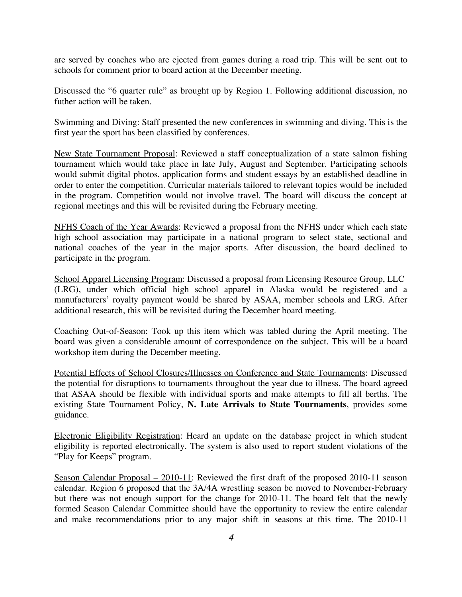are served by coaches who are ejected from games during a road trip. This will be sent out to schools for comment prior to board action at the December meeting.

Discussed the "6 quarter rule" as brought up by Region 1. Following additional discussion, no futher action will be taken.

Swimming and Diving: Staff presented the new conferences in swimming and diving. This is the first year the sport has been classified by conferences.

New State Tournament Proposal: Reviewed a staff conceptualization of a state salmon fishing tournament which would take place in late July, August and September. Participating schools would submit digital photos, application forms and student essays by an established deadline in order to enter the competition. Curricular materials tailored to relevant topics would be included in the program. Competition would not involve travel. The board will discuss the concept at regional meetings and this will be revisited during the February meeting.

NFHS Coach of the Year Awards: Reviewed a proposal from the NFHS under which each state high school association may participate in a national program to select state, sectional and national coaches of the year in the major sports. After discussion, the board declined to participate in the program.

School Apparel Licensing Program: Discussed a proposal from Licensing Resource Group, LLC (LRG), under which official high school apparel in Alaska would be registered and a manufacturers' royalty payment would be shared by ASAA, member schools and LRG. After additional research, this will be revisited during the December board meeting.

Coaching Out-of-Season: Took up this item which was tabled during the April meeting. The board was given a considerable amount of correspondence on the subject. This will be a board workshop item during the December meeting.

Potential Effects of School Closures/Illnesses on Conference and State Tournaments: Discussed the potential for disruptions to tournaments throughout the year due to illness. The board agreed that ASAA should be flexible with individual sports and make attempts to fill all berths. The existing State Tournament Policy, **N. Late Arrivals to State Tournaments**, provides some guidance.

Electronic Eligibility Registration: Heard an update on the database project in which student eligibility is reported electronically. The system is also used to report student violations of the "Play for Keeps" program.

Season Calendar Proposal – 2010-11: Reviewed the first draft of the proposed 2010-11 season calendar. Region 6 proposed that the 3A/4A wrestling season be moved to November-February but there was not enough support for the change for 2010-11. The board felt that the newly formed Season Calendar Committee should have the opportunity to review the entire calendar and make recommendations prior to any major shift in seasons at this time. The 2010-11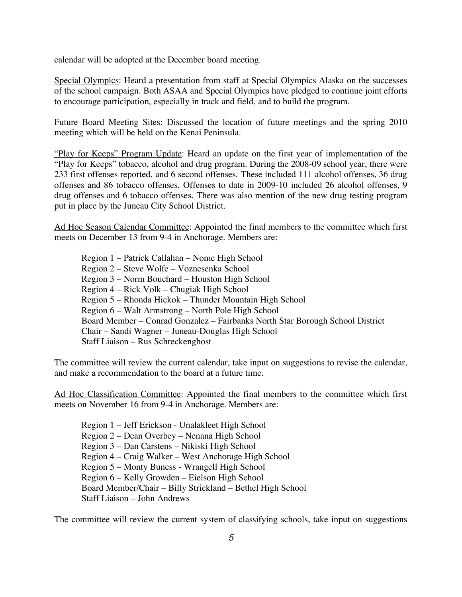calendar will be adopted at the December board meeting.

Special Olympics: Heard a presentation from staff at Special Olympics Alaska on the successes of the school campaign. Both ASAA and Special Olympics have pledged to continue joint efforts to encourage participation, especially in track and field, and to build the program.

Future Board Meeting Sites: Discussed the location of future meetings and the spring 2010 meeting which will be held on the Kenai Peninsula.

"Play for Keeps" Program Update: Heard an update on the first year of implementation of the "Play for Keeps" tobacco, alcohol and drug program. During the 2008-09 school year, there were 233 first offenses reported, and 6 second offenses. These included 111 alcohol offenses, 36 drug offenses and 86 tobacco offenses. Offenses to date in 2009-10 included 26 alcohol offenses, 9 drug offenses and 6 tobacco offenses. There was also mention of the new drug testing program put in place by the Juneau City School District.

Ad Hoc Season Calendar Committee: Appointed the final members to the committee which first meets on December 13 from 9-4 in Anchorage. Members are:

Region 1 – Patrick Callahan – Nome High School Region 2 – Steve Wolfe – Voznesenka School Region 3 – Norm Bouchard – Houston High School Region 4 – Rick Volk – Chugiak High School Region 5 – Rhonda Hickok – Thunder Mountain High School Region 6 – Walt Armstrong – North Pole High School Board Member – Conrad Gonzalez – Fairbanks North Star Borough School District Chair – Sandi Wagner – Juneau-Douglas High School Staff Liaison – Rus Schreckenghost

The committee will review the current calendar, take input on suggestions to revise the calendar, and make a recommendation to the board at a future time.

Ad Hoc Classification Committee: Appointed the final members to the committee which first meets on November 16 from 9-4 in Anchorage. Members are:

Region 1 – Jeff Erickson - Unalakleet High School Region 2 – Dean Overbey – Nenana High School Region 3 – Dan Carstens – Nikiski High School Region 4 – Craig Walker – West Anchorage High School Region 5 – Monty Buness - Wrangell High School Region 6 – Kelly Growden – Eielson High School Board Member/Chair – Billy Strickland – Bethel High School Staff Liaison – John Andrews

The committee will review the current system of classifying schools, take input on suggestions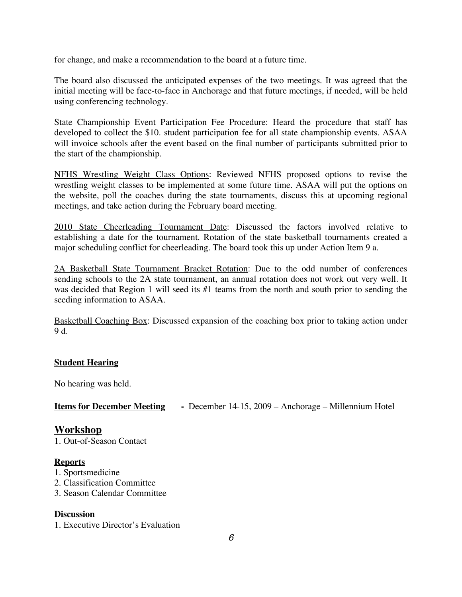for change, and make a recommendation to the board at a future time.

The board also discussed the anticipated expenses of the two meetings. It was agreed that the initial meeting will be face-to-face in Anchorage and that future meetings, if needed, will be held using conferencing technology.

State Championship Event Participation Fee Procedure: Heard the procedure that staff has developed to collect the \$10. student participation fee for all state championship events. ASAA will invoice schools after the event based on the final number of participants submitted prior to the start of the championship.

NFHS Wrestling Weight Class Options: Reviewed NFHS proposed options to revise the wrestling weight classes to be implemented at some future time. ASAA will put the options on the website, poll the coaches during the state tournaments, discuss this at upcoming regional meetings, and take action during the February board meeting.

2010 State Cheerleading Tournament Date: Discussed the factors involved relative to establishing a date for the tournament. Rotation of the state basketball tournaments created a major scheduling conflict for cheerleading. The board took this up under Action Item 9 a.

2A Basketball State Tournament Bracket Rotation: Due to the odd number of conferences sending schools to the 2A state tournament, an annual rotation does not work out very well. It was decided that Region 1 will seed its #1 teams from the north and south prior to sending the seeding information to ASAA.

Basketball Coaching Box: Discussed expansion of the coaching box prior to taking action under 9 d.

## **Student Hearing**

No hearing was held.

**Items for December Meeting -** December 14-15, 2009 – Anchorage – Millennium Hotel

## **Workshop**

1. Out-of-Season Contact

#### **Reports**

- 1. Sportsmedicine
- 2. Classification Committee
- 3. Season Calendar Committee

#### **Discussion**

1. Executive Director's Evaluation